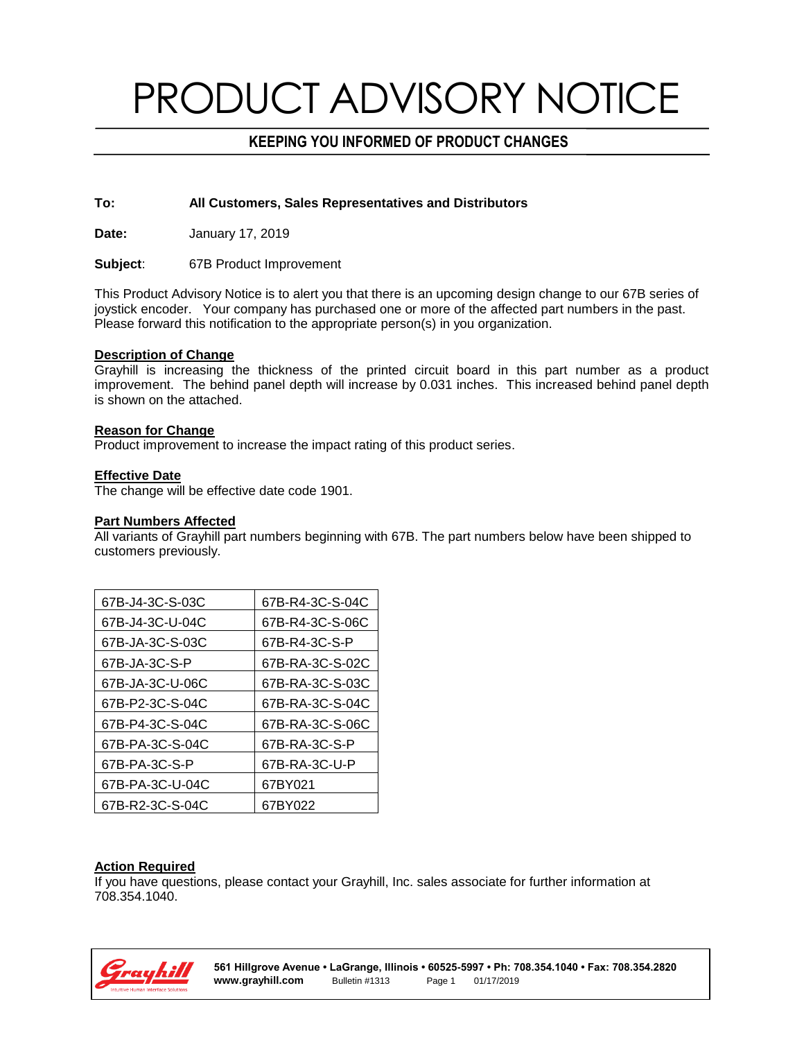# PRODUCT ADVISORY NOTICE

## **KEEPING YOU INFORMED OF PRODUCT CHANGES**

#### **To: All Customers, Sales Representatives and Distributors**

**Date:** January 17, 2019

**Subject**: 67B Product Improvement

This Product Advisory Notice is to alert you that there is an upcoming design change to our 67B series of joystick encoder. Your company has purchased one or more of the affected part numbers in the past. Please forward this notification to the appropriate person(s) in you organization.

#### **Description of Change**

Grayhill is increasing the thickness of the printed circuit board in this part number as a product improvement. The behind panel depth will increase by 0.031 inches. This increased behind panel depth is shown on the attached.

#### **Reason for Change**

Product improvement to increase the impact rating of this product series.

### **Effective Date**

The change will be effective date code 1901.

#### **Part Numbers Affected**

All variants of Grayhill part numbers beginning with 67B. The part numbers below have been shipped to customers previously.

| 67B-J4-3C-S-03C | 67B-R4-3C-S-04C |
|-----------------|-----------------|
| 67B-J4-3C-U-04C | 67B-R4-3C-S-06C |
| 67B-JA-3C-S-03C | 67B-R4-3C-S-P   |
| 67B-JA-3C-S-P   | 67B-RA-3C-S-02C |
| 67B-JA-3C-U-06C | 67B-RA-3C-S-03C |
| 67B-P2-3C-S-04C | 67B-RA-3C-S-04C |
| 67B-P4-3C-S-04C | 67B-RA-3C-S-06C |
| 67B-PA-3C-S-04C | 67B-RA-3C-S-P   |
| 67B-PA-3C-S-P   | 67B-RA-3C-U-P   |
| 67B-PA-3C-U-04C | 67BY021         |
| 67B-R2-3C-S-04C | 67BY022         |

### **Action Required**

If you have questions, please contact your Grayhill, Inc. sales associate for further information at 708.354.1040.